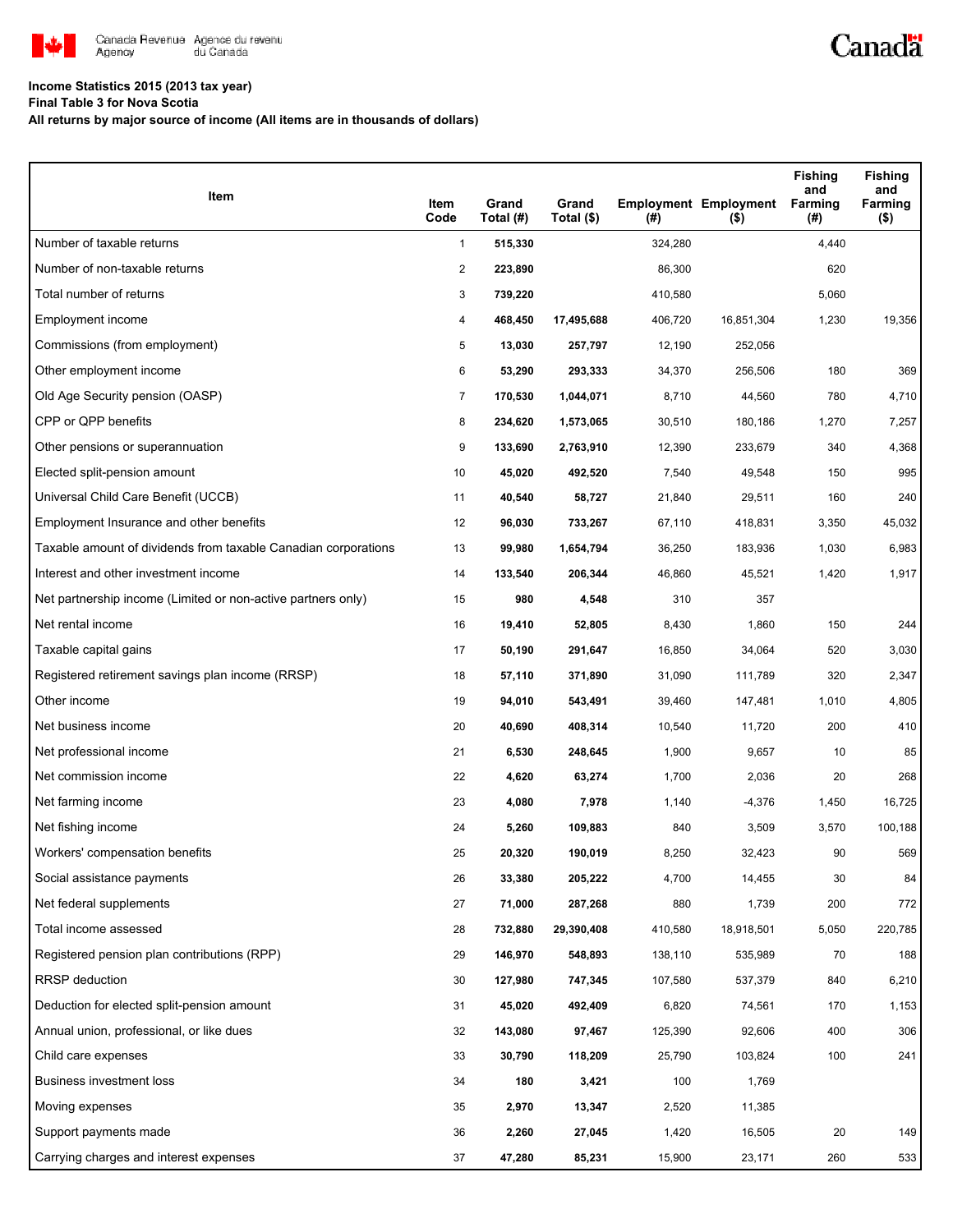

## **Income Statistics 2015 (2013 tax year)**

**Final Table 3 for Nova Scotia**

**All returns by major source of income (All items are in thousands of dollars)**

| Item                                                           | Item<br>Code   | Grand<br>Total (#) | Grand<br>Total (\$) | (#)     | <b>Employment Employment</b><br>$($ \$) | <b>Fishing</b><br>and<br>Farming<br>(#) | <b>Fishing</b><br>and<br>Farming<br>( \$) |
|----------------------------------------------------------------|----------------|--------------------|---------------------|---------|-----------------------------------------|-----------------------------------------|-------------------------------------------|
| Number of taxable returns                                      | $\mathbf{1}$   | 515,330            |                     | 324,280 |                                         | 4,440                                   |                                           |
| Number of non-taxable returns                                  | $\overline{2}$ | 223,890            |                     | 86,300  |                                         | 620                                     |                                           |
| Total number of returns                                        | 3              | 739,220            |                     | 410,580 |                                         | 5,060                                   |                                           |
| Employment income                                              | 4              | 468,450            | 17,495,688          | 406,720 | 16,851,304                              | 1,230                                   | 19,356                                    |
| Commissions (from employment)                                  | 5              | 13,030             | 257,797             | 12,190  | 252,056                                 |                                         |                                           |
| Other employment income                                        | 6              | 53,290             | 293,333             | 34,370  | 256,506                                 | 180                                     | 369                                       |
| Old Age Security pension (OASP)                                | $\overline{7}$ | 170,530            | 1,044,071           | 8,710   | 44,560                                  | 780                                     | 4,710                                     |
| CPP or QPP benefits                                            | 8              | 234,620            | 1,573,065           | 30,510  | 180,186                                 | 1,270                                   | 7,257                                     |
| Other pensions or superannuation                               | 9              | 133,690            | 2,763,910           | 12,390  | 233,679                                 | 340                                     | 4,368                                     |
| Elected split-pension amount                                   | 10             | 45,020             | 492,520             | 7,540   | 49,548                                  | 150                                     | 995                                       |
| Universal Child Care Benefit (UCCB)                            | 11             | 40,540             | 58,727              | 21,840  | 29,511                                  | 160                                     | 240                                       |
| Employment Insurance and other benefits                        | 12             | 96,030             | 733,267             | 67,110  | 418,831                                 | 3,350                                   | 45,032                                    |
| Taxable amount of dividends from taxable Canadian corporations | 13             | 99,980             | 1,654,794           | 36,250  | 183,936                                 | 1,030                                   | 6,983                                     |
| Interest and other investment income                           | 14             | 133,540            | 206,344             | 46,860  | 45,521                                  | 1,420                                   | 1,917                                     |
| Net partnership income (Limited or non-active partners only)   | 15             | 980                | 4,548               | 310     | 357                                     |                                         |                                           |
| Net rental income                                              | 16             | 19,410             | 52,805              | 8,430   | 1,860                                   | 150                                     | 244                                       |
| Taxable capital gains                                          | 17             | 50,190             | 291,647             | 16,850  | 34,064                                  | 520                                     | 3,030                                     |
| Registered retirement savings plan income (RRSP)               | 18             | 57,110             | 371,890             | 31,090  | 111,789                                 | 320                                     | 2,347                                     |
| Other income                                                   | 19             | 94,010             | 543,491             | 39,460  | 147,481                                 | 1,010                                   | 4,805                                     |
| Net business income                                            | 20             | 40,690             | 408,314             | 10,540  | 11,720                                  | 200                                     | 410                                       |
| Net professional income                                        | 21             | 6,530              | 248,645             | 1,900   | 9,657                                   | 10                                      | 85                                        |
| Net commission income                                          | 22             | 4,620              | 63,274              | 1,700   | 2,036                                   | 20                                      | 268                                       |
| Net farming income                                             | 23             | 4,080              | 7,978               | 1,140   | $-4,376$                                | 1,450                                   | 16,725                                    |
| Net fishing income                                             | 24             | 5,260              | 109,883             | 840     | 3,509                                   | 3,570                                   | 100,188                                   |
| Workers' compensation benefits                                 | 25             | 20,320             | 190,019             | 8,250   | 32,423                                  | 90                                      | 569                                       |
| Social assistance payments                                     | 26             | 33,380             | 205,222             | 4,700   | 14,455                                  | 30                                      | 84                                        |
| Net federal supplements                                        | 27             | 71,000             | 287,268             | 880     | 1,739                                   | 200                                     | 772                                       |
| Total income assessed                                          | 28             | 732,880            | 29,390,408          | 410,580 | 18,918,501                              | 5,050                                   | 220,785                                   |
| Registered pension plan contributions (RPP)                    | 29             | 146,970            | 548,893             | 138,110 | 535,989                                 | 70                                      | 188                                       |
| <b>RRSP</b> deduction                                          | 30             | 127,980            | 747,345             | 107,580 | 537,379                                 | 840                                     | 6,210                                     |
| Deduction for elected split-pension amount                     | 31             | 45,020             | 492,409             | 6,820   | 74,561                                  | 170                                     | 1,153                                     |
| Annual union, professional, or like dues                       | 32             | 143,080            | 97,467              | 125,390 | 92,606                                  | 400                                     | 306                                       |
| Child care expenses                                            | 33             | 30,790             | 118,209             | 25,790  | 103,824                                 | 100                                     | 241                                       |
| Business investment loss                                       | 34             | 180                | 3,421               | 100     | 1,769                                   |                                         |                                           |
| Moving expenses                                                | 35             | 2,970              | 13,347              | 2,520   | 11,385                                  |                                         |                                           |
| Support payments made                                          | 36             | 2,260              | 27,045              | 1,420   | 16,505                                  | 20                                      | 149                                       |
| Carrying charges and interest expenses                         | 37             | 47,280             | 85,231              | 15,900  | 23,171                                  | 260                                     | 533                                       |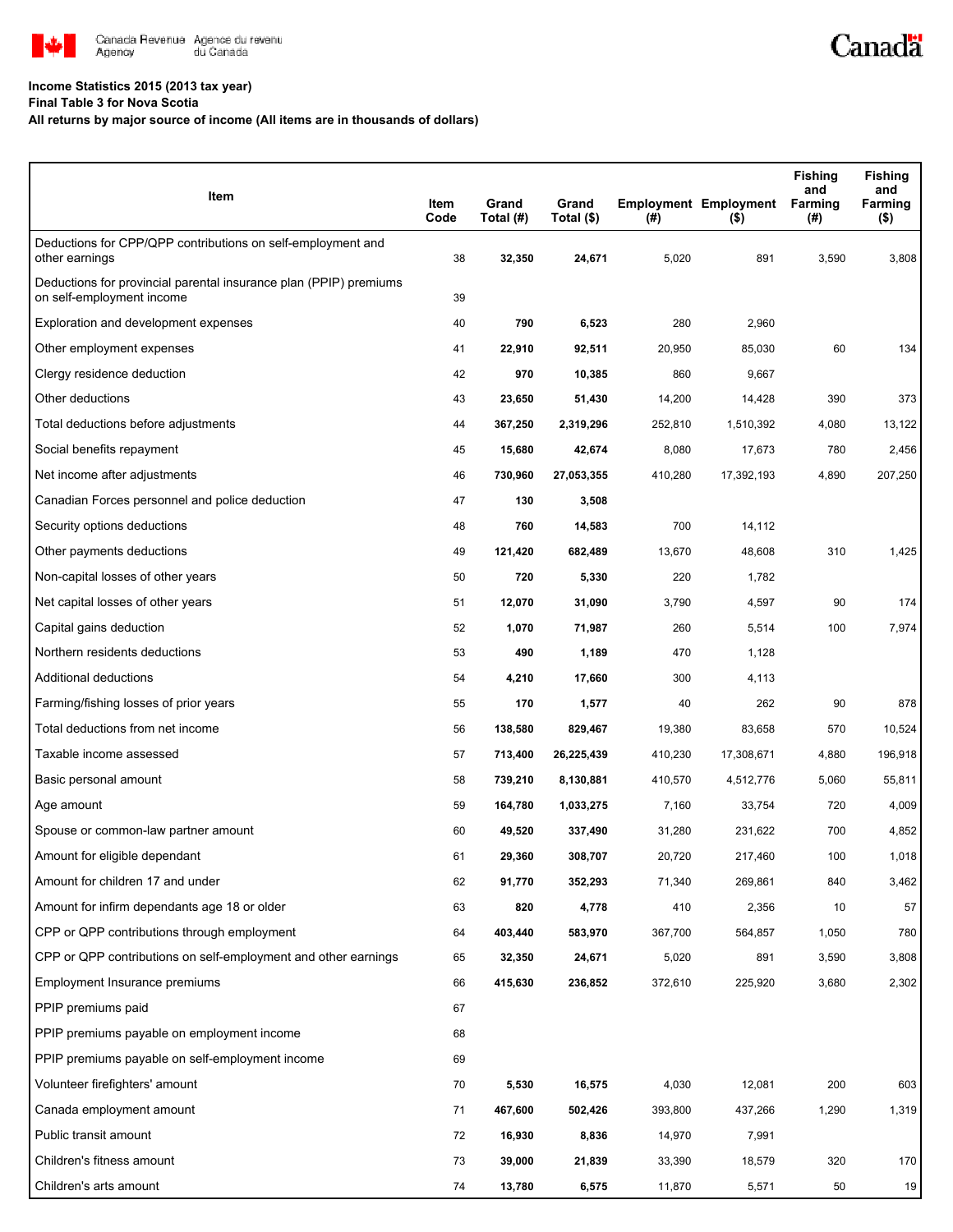

## **Income Statistics 2015 (2013 tax year)**

**Final Table 3 for Nova Scotia**

## **All returns by major source of income (All items are in thousands of dollars)**

| Item                                                                                           | Item<br>Code | Grand<br>Total (#) | Grand<br>Total (\$) | (#)     | <b>Employment Employment</b><br>(5) | <b>Fishing</b><br>and<br>Farming<br>(#) | <b>Fishing</b><br>and<br>Farming<br>$($ \$) |
|------------------------------------------------------------------------------------------------|--------------|--------------------|---------------------|---------|-------------------------------------|-----------------------------------------|---------------------------------------------|
| Deductions for CPP/QPP contributions on self-employment and<br>other earnings                  | 38           | 32,350             | 24,671              | 5,020   | 891                                 | 3,590                                   | 3,808                                       |
| Deductions for provincial parental insurance plan (PPIP) premiums<br>on self-employment income | 39           |                    |                     |         |                                     |                                         |                                             |
| Exploration and development expenses                                                           | 40           | 790                | 6,523               | 280     | 2,960                               |                                         |                                             |
| Other employment expenses                                                                      | 41           | 22,910             | 92,511              | 20,950  | 85,030                              | 60                                      | 134                                         |
| Clergy residence deduction                                                                     | 42           | 970                | 10,385              | 860     | 9,667                               |                                         |                                             |
| Other deductions                                                                               | 43           | 23,650             | 51,430              | 14,200  | 14,428                              | 390                                     | 373                                         |
| Total deductions before adjustments                                                            | 44           | 367,250            | 2,319,296           | 252,810 | 1,510,392                           | 4,080                                   | 13,122                                      |
| Social benefits repayment                                                                      | 45           | 15,680             | 42,674              | 8,080   | 17,673                              | 780                                     | 2,456                                       |
| Net income after adjustments                                                                   | 46           | 730,960            | 27,053,355          | 410,280 | 17,392,193                          | 4,890                                   | 207,250                                     |
| Canadian Forces personnel and police deduction                                                 | 47           | 130                | 3,508               |         |                                     |                                         |                                             |
| Security options deductions                                                                    | 48           | 760                | 14,583              | 700     | 14,112                              |                                         |                                             |
| Other payments deductions                                                                      | 49           | 121,420            | 682,489             | 13,670  | 48,608                              | 310                                     | 1,425                                       |
| Non-capital losses of other years                                                              | 50           | 720                | 5,330               | 220     | 1,782                               |                                         |                                             |
| Net capital losses of other years                                                              | 51           | 12,070             | 31,090              | 3,790   | 4,597                               | 90                                      | 174                                         |
| Capital gains deduction                                                                        | 52           | 1,070              | 71,987              | 260     | 5,514                               | 100                                     | 7,974                                       |
| Northern residents deductions                                                                  | 53           | 490                | 1,189               | 470     | 1,128                               |                                         |                                             |
| Additional deductions                                                                          | 54           | 4,210              | 17,660              | 300     | 4,113                               |                                         |                                             |
| Farming/fishing losses of prior years                                                          | 55           | 170                | 1,577               | 40      | 262                                 | 90                                      | 878                                         |
| Total deductions from net income                                                               | 56           | 138,580            | 829,467             | 19,380  | 83,658                              | 570                                     | 10,524                                      |
| Taxable income assessed                                                                        | 57           | 713,400            | 26,225,439          | 410,230 | 17,308,671                          | 4,880                                   | 196,918                                     |
| Basic personal amount                                                                          | 58           | 739,210            | 8,130,881           | 410,570 | 4,512,776                           | 5,060                                   | 55,811                                      |
| Age amount                                                                                     | 59           | 164,780            | 1,033,275           | 7,160   | 33,754                              | 720                                     | 4,009                                       |
| Spouse or common-law partner amount                                                            | 60           | 49,520             | 337,490             | 31,280  | 231,622                             | 700                                     | 4,852                                       |
| Amount for eligible dependant                                                                  | 61           | 29,360             | 308,707             | 20,720  | 217,460                             | 100                                     | 1,018                                       |
| Amount for children 17 and under                                                               | 62           | 91,770             | 352,293             | 71,340  | 269,861                             | 840                                     | 3,462                                       |
| Amount for infirm dependants age 18 or older                                                   | 63           | 820                | 4,778               | 410     | 2,356                               | 10                                      | 57                                          |
| CPP or QPP contributions through employment                                                    | 64           | 403,440            | 583,970             | 367,700 | 564,857                             | 1,050                                   | 780                                         |
| CPP or QPP contributions on self-employment and other earnings                                 | 65           | 32,350             | 24,671              | 5,020   | 891                                 | 3,590                                   | 3,808                                       |
| Employment Insurance premiums                                                                  | 66           | 415,630            | 236,852             | 372,610 | 225,920                             | 3,680                                   | 2,302                                       |
| PPIP premiums paid                                                                             | 67           |                    |                     |         |                                     |                                         |                                             |
| PPIP premiums payable on employment income                                                     | 68           |                    |                     |         |                                     |                                         |                                             |
| PPIP premiums payable on self-employment income                                                | 69           |                    |                     |         |                                     |                                         |                                             |
| Volunteer firefighters' amount                                                                 | 70           | 5,530              | 16,575              | 4,030   | 12,081                              | 200                                     | 603                                         |
| Canada employment amount                                                                       | 71           | 467,600            | 502,426             | 393,800 | 437,266                             | 1,290                                   | 1,319                                       |
| Public transit amount                                                                          | 72           | 16,930             | 8,836               | 14,970  | 7,991                               |                                         |                                             |
| Children's fitness amount                                                                      | 73           | 39,000             | 21,839              | 33,390  | 18,579                              | 320                                     | 170                                         |
| Children's arts amount                                                                         | 74           | 13,780             | 6,575               | 11,870  | 5,571                               | 50                                      | 19                                          |

Canadä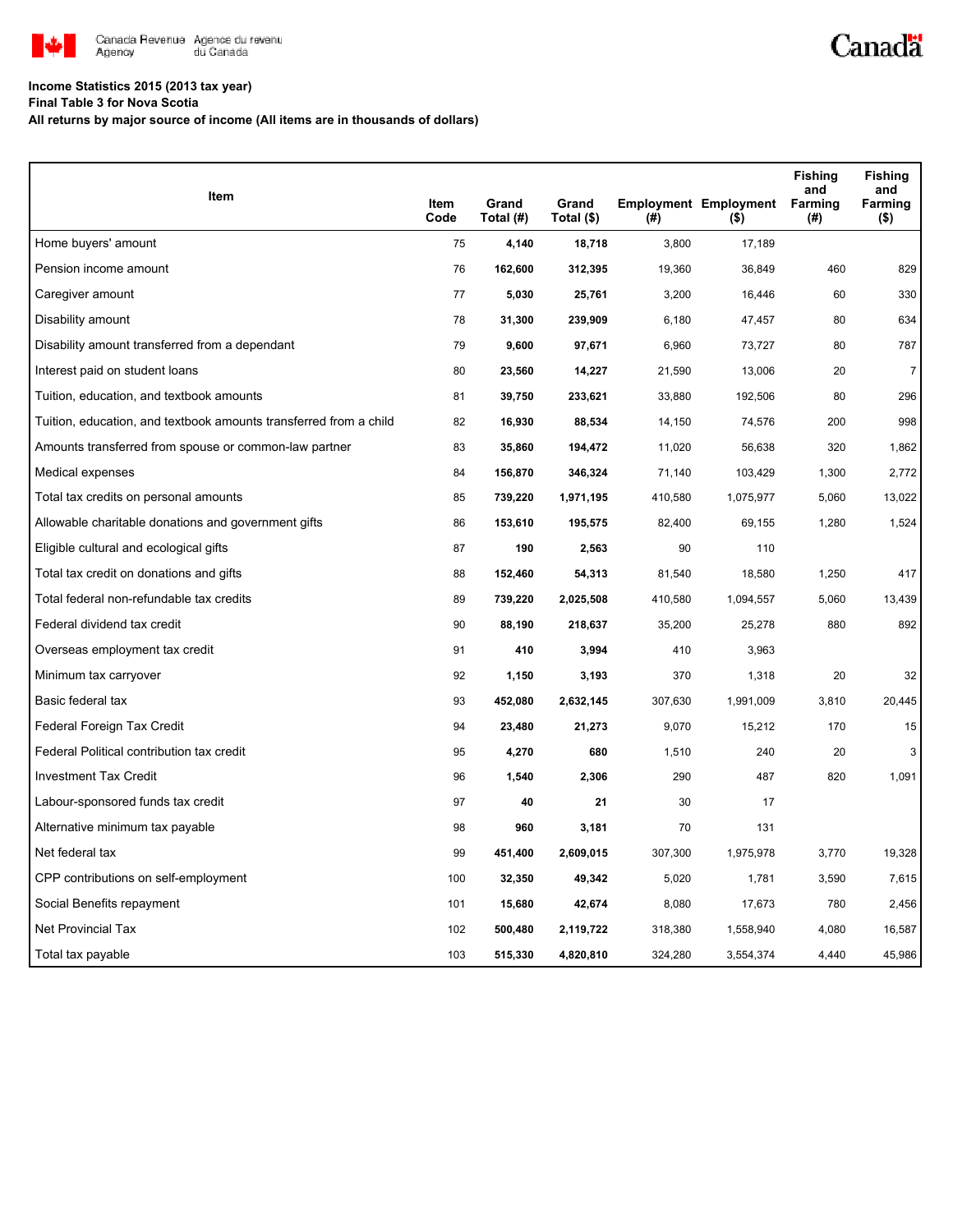

## **Income Statistics 2015 (2013 tax year)**

**Final Table 3 for Nova Scotia**

**All returns by major source of income (All items are in thousands of dollars)**

| Item                                                              |              |                    |                     |         |                                         | <b>Fishing</b><br>and | <b>Fishing</b><br>and |
|-------------------------------------------------------------------|--------------|--------------------|---------------------|---------|-----------------------------------------|-----------------------|-----------------------|
|                                                                   | Item<br>Code | Grand<br>Total (#) | Grand<br>Total (\$) | (#)     | <b>Employment Employment</b><br>$($ \$) | Farming<br>(#)        | Farming<br>$($ \$)    |
| Home buyers' amount                                               | 75           | 4,140              | 18,718              | 3,800   | 17,189                                  |                       |                       |
| Pension income amount                                             | 76           | 162,600            | 312,395             | 19,360  | 36,849                                  | 460                   | 829                   |
| Caregiver amount                                                  | 77           | 5,030              | 25,761              | 3,200   | 16,446                                  | 60                    | 330                   |
| Disability amount                                                 | 78           | 31,300             | 239,909             | 6,180   | 47,457                                  | 80                    | 634                   |
| Disability amount transferred from a dependant                    | 79           | 9,600              | 97,671              | 6,960   | 73,727                                  | 80                    | 787                   |
| Interest paid on student loans                                    | 80           | 23,560             | 14,227              | 21,590  | 13,006                                  | 20                    | $\overline{7}$        |
| Tuition, education, and textbook amounts                          | 81           | 39,750             | 233,621             | 33,880  | 192,506                                 | 80                    | 296                   |
| Tuition, education, and textbook amounts transferred from a child | 82           | 16,930             | 88,534              | 14,150  | 74,576                                  | 200                   | 998                   |
| Amounts transferred from spouse or common-law partner             | 83           | 35,860             | 194,472             | 11,020  | 56,638                                  | 320                   | 1,862                 |
| Medical expenses                                                  | 84           | 156,870            | 346,324             | 71,140  | 103,429                                 | 1,300                 | 2,772                 |
| Total tax credits on personal amounts                             | 85           | 739,220            | 1,971,195           | 410,580 | 1,075,977                               | 5,060                 | 13,022                |
| Allowable charitable donations and government gifts               | 86           | 153,610            | 195,575             | 82,400  | 69,155                                  | 1,280                 | 1,524                 |
| Eligible cultural and ecological gifts                            | 87           | 190                | 2,563               | 90      | 110                                     |                       |                       |
| Total tax credit on donations and gifts                           | 88           | 152,460            | 54,313              | 81,540  | 18,580                                  | 1,250                 | 417                   |
| Total federal non-refundable tax credits                          | 89           | 739,220            | 2,025,508           | 410,580 | 1,094,557                               | 5,060                 | 13,439                |
| Federal dividend tax credit                                       | 90           | 88,190             | 218,637             | 35,200  | 25,278                                  | 880                   | 892                   |
| Overseas employment tax credit                                    | 91           | 410                | 3,994               | 410     | 3,963                                   |                       |                       |
| Minimum tax carryover                                             | 92           | 1,150              | 3,193               | 370     | 1,318                                   | 20                    | 32                    |
| Basic federal tax                                                 | 93           | 452,080            | 2,632,145           | 307,630 | 1,991,009                               | 3,810                 | 20,445                |
| Federal Foreign Tax Credit                                        | 94           | 23,480             | 21,273              | 9,070   | 15,212                                  | 170                   | 15                    |
| Federal Political contribution tax credit                         | 95           | 4,270              | 680                 | 1,510   | 240                                     | 20                    | 3                     |
| <b>Investment Tax Credit</b>                                      | 96           | 1,540              | 2,306               | 290     | 487                                     | 820                   | 1,091                 |
| Labour-sponsored funds tax credit                                 | 97           | 40                 | 21                  | 30      | 17                                      |                       |                       |
| Alternative minimum tax payable                                   | 98           | 960                | 3,181               | 70      | 131                                     |                       |                       |
| Net federal tax                                                   | 99           | 451,400            | 2,609,015           | 307,300 | 1,975,978                               | 3,770                 | 19,328                |
| CPP contributions on self-employment                              | 100          | 32,350             | 49,342              | 5,020   | 1,781                                   | 3,590                 | 7,615                 |
| Social Benefits repayment                                         | 101          | 15,680             | 42,674              | 8,080   | 17,673                                  | 780                   | 2,456                 |
| Net Provincial Tax                                                | 102          | 500,480            | 2,119,722           | 318,380 | 1,558,940                               | 4,080                 | 16,587                |
| Total tax payable                                                 | 103          | 515,330            | 4,820,810           | 324,280 | 3,554,374                               | 4,440                 | 45,986                |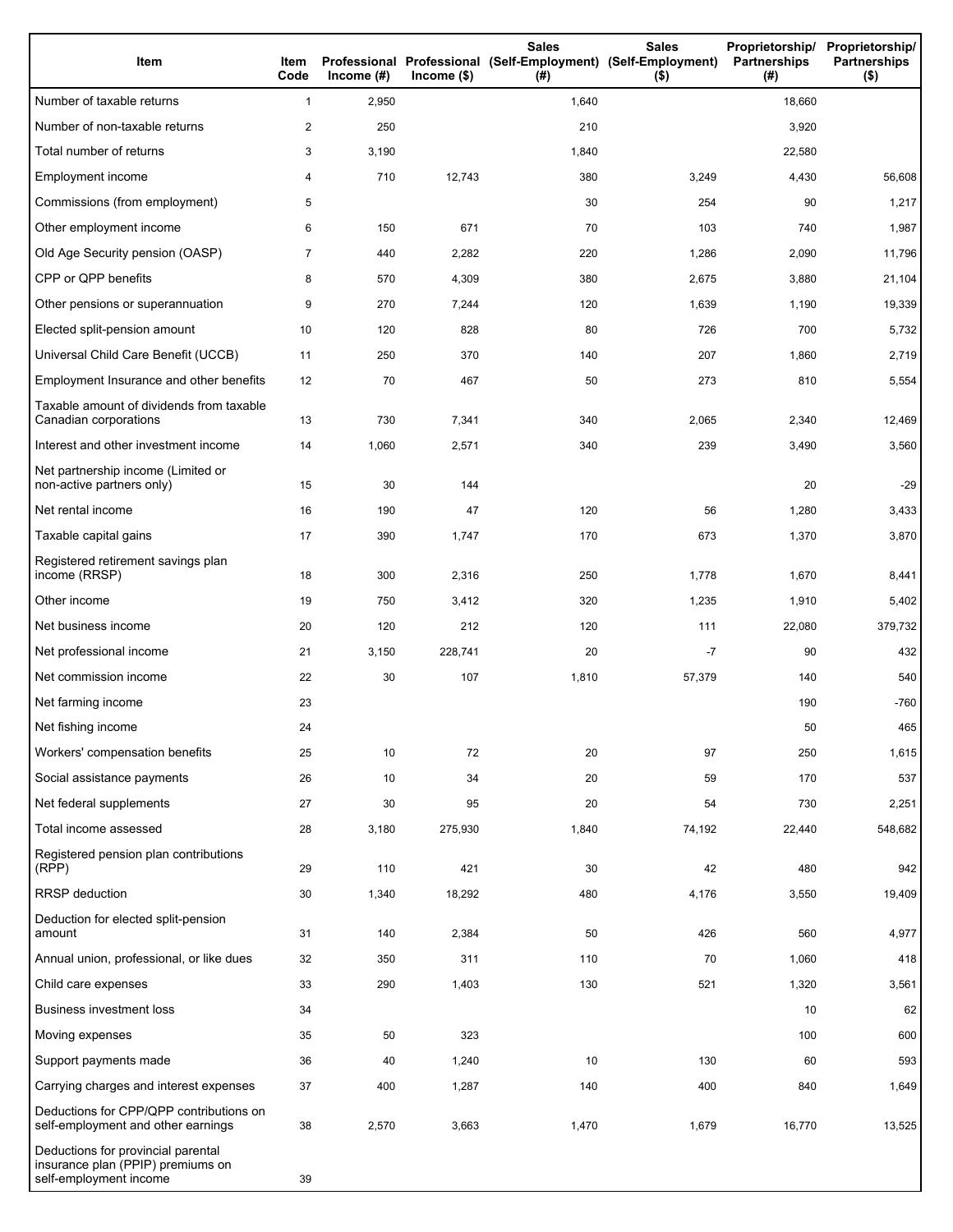| Item                                                                                              | Item<br>Code   | Income $(#)$ | $Income$ (\$) | <b>Sales</b><br>Professional Professional (Self-Employment) (Self-Employment)<br>(#) | <b>Sales</b><br>$($ \$) | Proprietorship/<br><b>Partnerships</b><br>(# ) | Proprietorship/<br><b>Partnerships</b><br>$($ \$) |
|---------------------------------------------------------------------------------------------------|----------------|--------------|---------------|--------------------------------------------------------------------------------------|-------------------------|------------------------------------------------|---------------------------------------------------|
| Number of taxable returns                                                                         | $\mathbf{1}$   | 2,950        |               | 1,640                                                                                |                         | 18,660                                         |                                                   |
| Number of non-taxable returns                                                                     | 2              | 250          |               | 210                                                                                  |                         | 3,920                                          |                                                   |
| Total number of returns                                                                           | 3              | 3,190        |               | 1,840                                                                                |                         | 22,580                                         |                                                   |
| Employment income                                                                                 | 4              | 710          | 12,743        | 380                                                                                  | 3,249                   | 4,430                                          | 56,608                                            |
| Commissions (from employment)                                                                     | 5              |              |               | 30                                                                                   | 254                     | 90                                             | 1,217                                             |
| Other employment income                                                                           | 6              | 150          | 671           | 70                                                                                   | 103                     | 740                                            | 1,987                                             |
| Old Age Security pension (OASP)                                                                   | $\overline{7}$ | 440          | 2,282         | 220                                                                                  | 1,286                   | 2,090                                          | 11,796                                            |
| CPP or QPP benefits                                                                               | 8              | 570          | 4,309         | 380                                                                                  | 2,675                   | 3,880                                          | 21,104                                            |
| Other pensions or superannuation                                                                  | 9              | 270          | 7,244         | 120                                                                                  | 1,639                   | 1,190                                          | 19,339                                            |
| Elected split-pension amount                                                                      | 10             | 120          | 828           | 80                                                                                   | 726                     | 700                                            | 5,732                                             |
| Universal Child Care Benefit (UCCB)                                                               | 11             | 250          | 370           | 140                                                                                  | 207                     | 1,860                                          | 2,719                                             |
| Employment Insurance and other benefits                                                           | 12             | 70           | 467           | 50                                                                                   | 273                     | 810                                            | 5,554                                             |
| Taxable amount of dividends from taxable<br>Canadian corporations                                 | 13             | 730          | 7,341         | 340                                                                                  | 2,065                   | 2,340                                          | 12,469                                            |
| Interest and other investment income                                                              | 14             | 1,060        | 2,571         | 340                                                                                  | 239                     | 3,490                                          | 3,560                                             |
| Net partnership income (Limited or<br>non-active partners only)                                   | 15             | 30           | 144           |                                                                                      |                         | 20                                             | $-29$                                             |
| Net rental income                                                                                 | 16             | 190          | 47            | 120                                                                                  | 56                      | 1,280                                          | 3,433                                             |
| Taxable capital gains                                                                             | 17             | 390          | 1,747         | 170                                                                                  | 673                     | 1,370                                          | 3,870                                             |
| Registered retirement savings plan<br>income (RRSP)                                               | 18             | 300          | 2,316         | 250                                                                                  | 1,778                   | 1,670                                          | 8,441                                             |
| Other income                                                                                      | 19             | 750          | 3,412         | 320                                                                                  | 1,235                   | 1,910                                          | 5,402                                             |
| Net business income                                                                               | 20             | 120          | 212           | 120                                                                                  | 111                     | 22,080                                         | 379,732                                           |
| Net professional income                                                                           | 21             | 3,150        | 228,741       | 20                                                                                   | $-7$                    | 90                                             | 432                                               |
| Net commission income                                                                             | 22             | 30           | 107           | 1,810                                                                                | 57,379                  | 140                                            | 540                                               |
| Net farming income                                                                                | 23             |              |               |                                                                                      |                         | 190                                            | $-760$                                            |
| Net fishing income                                                                                | 24             |              |               |                                                                                      |                         | 50                                             | 465                                               |
| Workers' compensation benefits                                                                    | 25             | 10           | 72            | 20                                                                                   | 97                      | 250                                            | 1,615                                             |
| Social assistance payments                                                                        | 26             | 10           | 34            | 20                                                                                   | 59                      | 170                                            | 537                                               |
| Net federal supplements                                                                           | 27             | 30           | 95            | 20                                                                                   | 54                      | 730                                            | 2,251                                             |
| Total income assessed                                                                             | 28             | 3,180        | 275,930       | 1,840                                                                                | 74,192                  | 22,440                                         | 548,682                                           |
| Registered pension plan contributions<br>(RPP)                                                    | 29             | 110          | 421           | 30                                                                                   | 42                      | 480                                            | 942                                               |
| RRSP deduction                                                                                    | 30             | 1,340        | 18,292        | 480                                                                                  | 4,176                   | 3,550                                          | 19,409                                            |
| Deduction for elected split-pension<br>amount                                                     | 31             | 140          | 2,384         | 50                                                                                   | 426                     | 560                                            | 4,977                                             |
| Annual union, professional, or like dues                                                          | 32             | 350          | 311           | 110                                                                                  | 70                      | 1,060                                          | 418                                               |
| Child care expenses                                                                               | 33             | 290          | 1,403         | 130                                                                                  | 521                     | 1,320                                          | 3,561                                             |
| <b>Business investment loss</b>                                                                   | 34             |              |               |                                                                                      |                         | 10                                             | 62                                                |
| Moving expenses                                                                                   | 35             | 50           | 323           |                                                                                      |                         | 100                                            | 600                                               |
| Support payments made                                                                             | 36             | 40           | 1,240         | 10                                                                                   | 130                     | 60                                             | 593                                               |
| Carrying charges and interest expenses                                                            | 37             | 400          | 1,287         | 140                                                                                  | 400                     | 840                                            | 1,649                                             |
| Deductions for CPP/QPP contributions on<br>self-employment and other earnings                     | 38             | 2,570        | 3,663         | 1,470                                                                                | 1,679                   | 16,770                                         | 13,525                                            |
| Deductions for provincial parental<br>insurance plan (PPIP) premiums on<br>self-employment income | 39             |              |               |                                                                                      |                         |                                                |                                                   |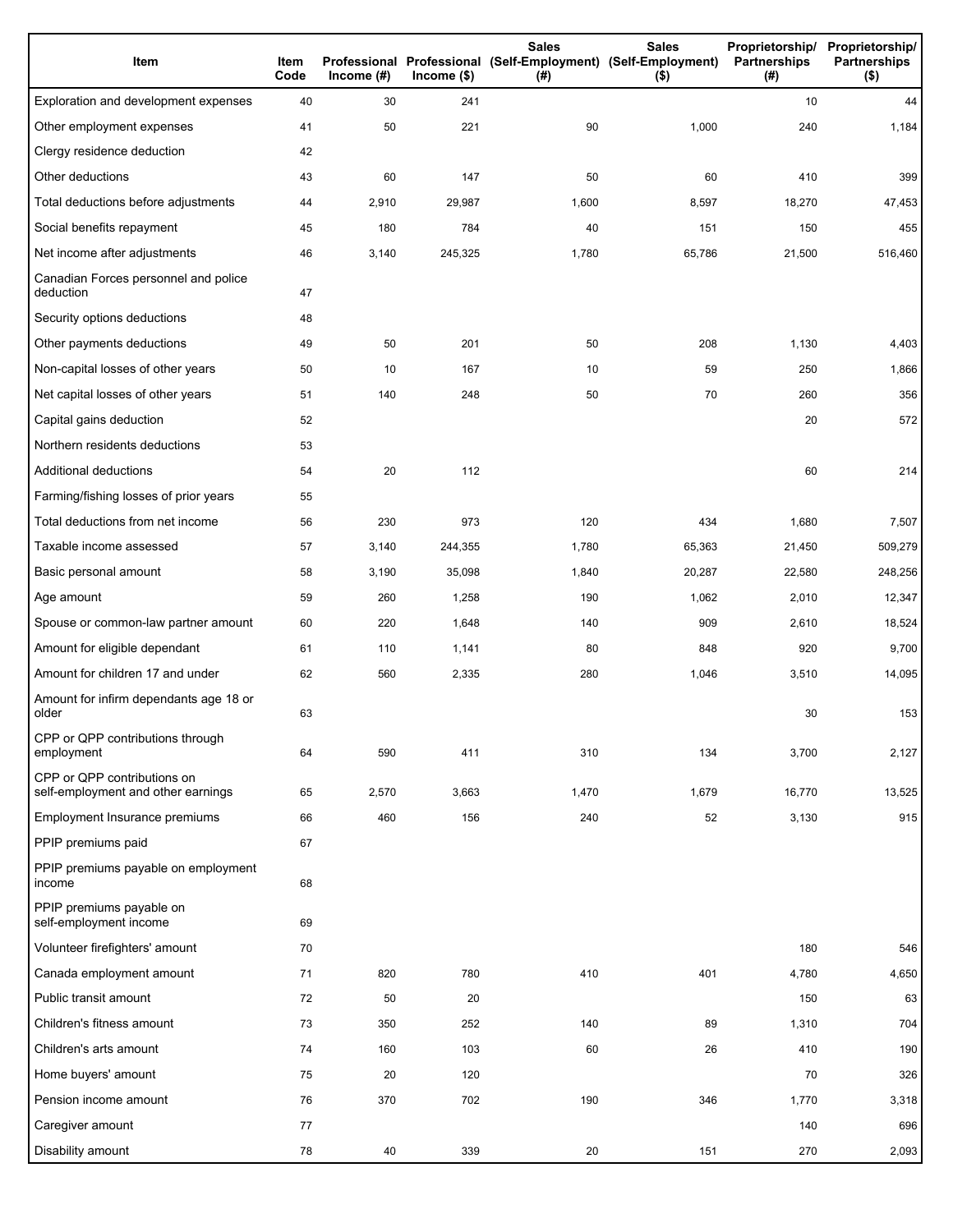| Item                                                              | Item<br>Code | Income $(\#)$ | $lncome$ (\$) | <b>Sales</b><br>Professional Professional (Self-Employment) (Self-Employment)<br>(#) | <b>Sales</b><br>$($ \$) | Partnerships<br>(#) | Proprietorship/ Proprietorship/<br><b>Partnerships</b><br>$($ \$) |
|-------------------------------------------------------------------|--------------|---------------|---------------|--------------------------------------------------------------------------------------|-------------------------|---------------------|-------------------------------------------------------------------|
| Exploration and development expenses                              | 40           | 30            | 241           |                                                                                      |                         | 10                  | 44                                                                |
| Other employment expenses                                         | 41           | 50            | 221           | 90                                                                                   | 1,000                   | 240                 | 1,184                                                             |
| Clergy residence deduction                                        | 42           |               |               |                                                                                      |                         |                     |                                                                   |
| Other deductions                                                  | 43           | 60            | 147           | 50                                                                                   | 60                      | 410                 | 399                                                               |
| Total deductions before adjustments                               | 44           | 2,910         | 29,987        | 1,600                                                                                | 8,597                   | 18,270              | 47,453                                                            |
| Social benefits repayment                                         | 45           | 180           | 784           | 40                                                                                   | 151                     | 150                 | 455                                                               |
| Net income after adjustments                                      | 46           | 3,140         | 245,325       | 1,780                                                                                | 65,786                  | 21,500              | 516,460                                                           |
| Canadian Forces personnel and police<br>deduction                 | 47           |               |               |                                                                                      |                         |                     |                                                                   |
| Security options deductions                                       | 48           |               |               |                                                                                      |                         |                     |                                                                   |
| Other payments deductions                                         | 49           | 50            | 201           | 50                                                                                   | 208                     | 1,130               | 4,403                                                             |
| Non-capital losses of other years                                 | 50           | 10            | 167           | 10                                                                                   | 59                      | 250                 | 1,866                                                             |
| Net capital losses of other years                                 | 51           | 140           | 248           | 50                                                                                   | 70                      | 260                 | 356                                                               |
| Capital gains deduction                                           | 52           |               |               |                                                                                      |                         | 20                  | 572                                                               |
| Northern residents deductions                                     | 53           |               |               |                                                                                      |                         |                     |                                                                   |
| Additional deductions                                             | 54           | 20            | 112           |                                                                                      |                         | 60                  | 214                                                               |
| Farming/fishing losses of prior years                             | 55           |               |               |                                                                                      |                         |                     |                                                                   |
| Total deductions from net income                                  | 56           | 230           | 973           | 120                                                                                  | 434                     | 1,680               | 7,507                                                             |
| Taxable income assessed                                           | 57           | 3,140         | 244,355       | 1,780                                                                                | 65,363                  | 21,450              | 509,279                                                           |
| Basic personal amount                                             | 58           | 3,190         | 35,098        | 1,840                                                                                | 20,287                  | 22,580              | 248,256                                                           |
| Age amount                                                        | 59           | 260           | 1,258         | 190                                                                                  | 1,062                   | 2,010               | 12,347                                                            |
| Spouse or common-law partner amount                               | 60           | 220           | 1,648         | 140                                                                                  | 909                     | 2,610               | 18,524                                                            |
| Amount for eligible dependant                                     | 61           | 110           | 1,141         | 80                                                                                   | 848                     | 920                 | 9,700                                                             |
| Amount for children 17 and under                                  | 62           | 560           | 2,335         | 280                                                                                  | 1,046                   | 3,510               | 14,095                                                            |
| Amount for infirm dependants age 18 or<br>older                   | 63           |               |               |                                                                                      |                         | 30                  | 153                                                               |
| CPP or QPP contributions through<br>employment                    | 64           | 590           | 411           | 310                                                                                  | 134                     | 3,700               | 2,127                                                             |
| CPP or QPP contributions on<br>self-employment and other earnings | 65           | 2,570         | 3,663         | 1,470                                                                                | 1,679                   | 16,770              | 13,525                                                            |
| Employment Insurance premiums                                     | 66           | 460           | 156           | 240                                                                                  | 52                      | 3,130               | 915                                                               |
| PPIP premiums paid                                                | 67           |               |               |                                                                                      |                         |                     |                                                                   |
| PPIP premiums payable on employment<br>income                     | 68           |               |               |                                                                                      |                         |                     |                                                                   |
| PPIP premiums payable on<br>self-employment income                | 69           |               |               |                                                                                      |                         |                     |                                                                   |
| Volunteer firefighters' amount                                    | 70           |               |               |                                                                                      |                         | 180                 | 546                                                               |
| Canada employment amount                                          | 71           | 820           | 780           | 410                                                                                  | 401                     | 4,780               | 4,650                                                             |
| Public transit amount                                             | 72           | 50            | 20            |                                                                                      |                         | 150                 | 63                                                                |
| Children's fitness amount                                         | 73           | 350           | 252           | 140                                                                                  | 89                      | 1,310               | 704                                                               |
| Children's arts amount                                            | 74           | 160           | 103           | 60                                                                                   | 26                      | 410                 | 190                                                               |
| Home buyers' amount                                               | 75           | 20            | 120           |                                                                                      |                         | 70                  | 326                                                               |
| Pension income amount                                             | 76           | 370           | 702           | 190                                                                                  | 346                     | 1,770               | 3,318                                                             |
| Caregiver amount                                                  | 77           |               |               |                                                                                      |                         | 140                 | 696                                                               |
| Disability amount                                                 | 78           | 40            | 339           | 20                                                                                   | 151                     | 270                 | 2,093                                                             |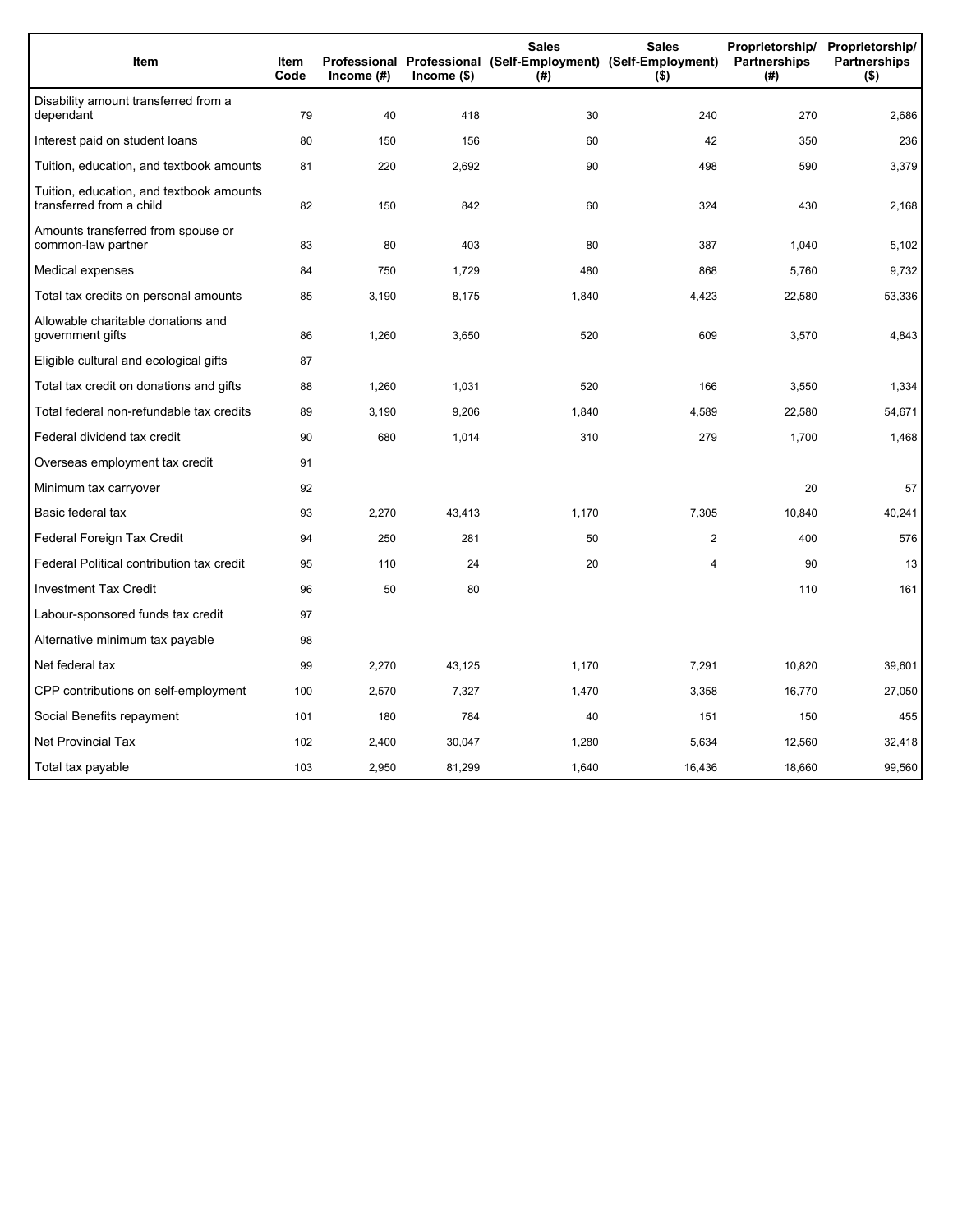| Item                                                                 | <b>Item</b><br>Code | Income (#) | $lncome$ (\$) | <b>Sales</b><br>$($ #) | <b>Sales</b><br>Proprietorship/<br>Professional Professional (Self-Employment) (Self-Employment)<br>Partnerships<br>$($ \$) |        | Proprietorship/<br><b>Partnerships</b><br>$($ \$) |
|----------------------------------------------------------------------|---------------------|------------|---------------|------------------------|-----------------------------------------------------------------------------------------------------------------------------|--------|---------------------------------------------------|
| Disability amount transferred from a<br>dependant                    | 79                  | 40         | 418           | 30                     | 240                                                                                                                         | 270    | 2,686                                             |
| Interest paid on student loans                                       | 80                  | 150        | 156           | 60                     | 42                                                                                                                          | 350    | 236                                               |
| Tuition, education, and textbook amounts                             | 81                  | 220        | 2,692         | 90                     | 498                                                                                                                         | 590    | 3,379                                             |
| Tuition, education, and textbook amounts<br>transferred from a child | 82                  | 150        | 842           | 60                     | 324                                                                                                                         | 430    | 2,168                                             |
| Amounts transferred from spouse or<br>common-law partner             | 83                  | 80         | 403           | 80                     | 387                                                                                                                         | 1,040  | 5,102                                             |
| Medical expenses                                                     | 84                  | 750        | 1,729         | 480                    | 868                                                                                                                         | 5,760  | 9,732                                             |
| Total tax credits on personal amounts                                | 85                  | 3,190      | 8,175         | 1,840                  | 4,423                                                                                                                       | 22,580 | 53,336                                            |
| Allowable charitable donations and<br>government gifts               | 86                  | 1,260      | 3,650         | 520                    | 609                                                                                                                         | 3,570  | 4,843                                             |
| Eligible cultural and ecological gifts                               | 87                  |            |               |                        |                                                                                                                             |        |                                                   |
| Total tax credit on donations and gifts                              | 88                  | 1,260      | 1,031         | 520                    | 166                                                                                                                         | 3,550  | 1,334                                             |
| Total federal non-refundable tax credits                             | 89                  | 3,190      | 9,206         | 1,840                  | 4,589                                                                                                                       | 22,580 | 54,671                                            |
| Federal dividend tax credit                                          | 90                  | 680        | 1,014         | 310                    | 279                                                                                                                         | 1,700  | 1,468                                             |
| Overseas employment tax credit                                       | 91                  |            |               |                        |                                                                                                                             |        |                                                   |
| Minimum tax carryover                                                | 92                  |            |               |                        |                                                                                                                             | 20     | 57                                                |
| Basic federal tax                                                    | 93                  | 2,270      | 43,413        | 1,170                  | 7,305                                                                                                                       | 10,840 | 40,241                                            |
| Federal Foreign Tax Credit                                           | 94                  | 250        | 281           | 50                     | $\overline{2}$                                                                                                              | 400    | 576                                               |
| Federal Political contribution tax credit                            | 95                  | 110        | 24            | 20                     | 4                                                                                                                           | 90     | 13                                                |
| <b>Investment Tax Credit</b>                                         | 96                  | 50         | 80            |                        |                                                                                                                             | 110    | 161                                               |
| Labour-sponsored funds tax credit                                    | 97                  |            |               |                        |                                                                                                                             |        |                                                   |
| Alternative minimum tax payable                                      | 98                  |            |               |                        |                                                                                                                             |        |                                                   |
| Net federal tax                                                      | 99                  | 2,270      | 43.125        | 1,170                  | 7,291                                                                                                                       | 10.820 | 39,601                                            |
| CPP contributions on self-employment                                 | 100                 | 2,570      | 7,327         | 1,470                  | 3,358                                                                                                                       | 16,770 | 27,050                                            |
| Social Benefits repayment                                            | 101                 | 180        | 784           | 40                     | 151                                                                                                                         | 150    | 455                                               |
| <b>Net Provincial Tax</b>                                            | 102                 | 2,400      | 30,047        | 1,280                  | 5,634                                                                                                                       | 12,560 | 32,418                                            |
| Total tax payable                                                    | 103                 | 2,950      | 81,299        | 1,640                  | 16,436                                                                                                                      | 18.660 | 99,560                                            |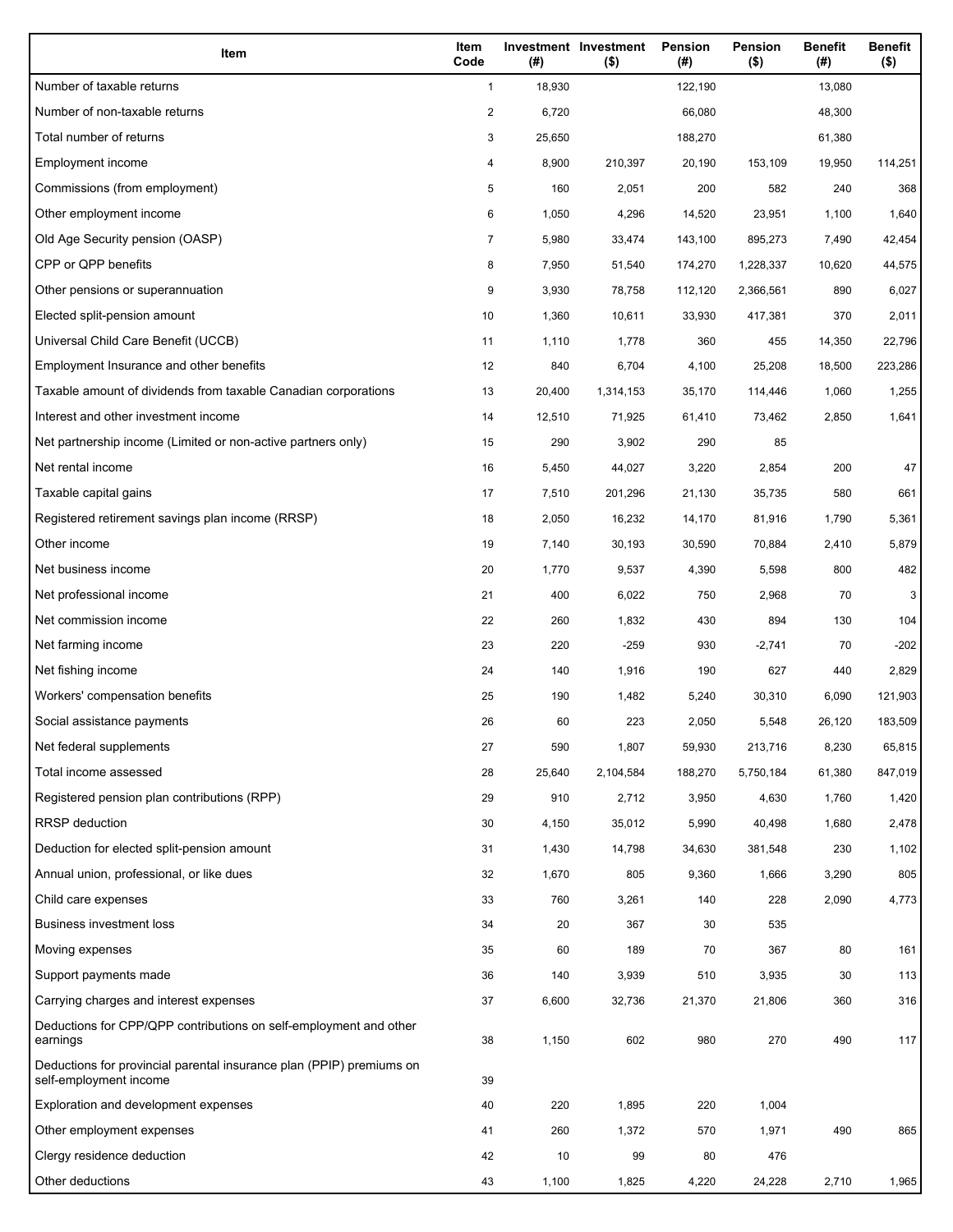| Item                                                                                           | Item<br>Code | (#)    | Investment Investment<br>$($ \$) | Pension<br>(#) | Pension<br>$($ \$) | <b>Benefit</b><br>(#) | <b>Benefit</b><br>$($ \$) |
|------------------------------------------------------------------------------------------------|--------------|--------|----------------------------------|----------------|--------------------|-----------------------|---------------------------|
| Number of taxable returns                                                                      | $\mathbf{1}$ | 18,930 |                                  | 122,190        |                    | 13,080                |                           |
| Number of non-taxable returns                                                                  | 2            | 6,720  |                                  | 66,080         |                    | 48,300                |                           |
| Total number of returns                                                                        | 3            | 25,650 |                                  | 188,270        |                    | 61,380                |                           |
| Employment income                                                                              | 4            | 8,900  | 210,397                          | 20,190         | 153,109            | 19,950                | 114,251                   |
| Commissions (from employment)                                                                  | 5            | 160    | 2,051                            | 200            | 582                | 240                   | 368                       |
| Other employment income                                                                        | 6            | 1,050  | 4,296                            | 14,520         | 23,951             | 1,100                 | 1,640                     |
| Old Age Security pension (OASP)                                                                | 7            | 5,980  | 33,474                           | 143,100        | 895,273            | 7,490                 | 42,454                    |
| CPP or QPP benefits                                                                            | 8            | 7,950  | 51,540                           | 174,270        | 1,228,337          | 10,620                | 44,575                    |
| Other pensions or superannuation                                                               | 9            | 3,930  | 78,758                           | 112,120        | 2,366,561          | 890                   | 6,027                     |
| Elected split-pension amount                                                                   | 10           | 1,360  | 10,611                           | 33,930         | 417,381            | 370                   | 2,011                     |
| Universal Child Care Benefit (UCCB)                                                            | 11           | 1,110  | 1,778                            | 360            | 455                | 14,350                | 22,796                    |
| Employment Insurance and other benefits                                                        | 12           | 840    | 6,704                            | 4,100          | 25,208             | 18,500                | 223,286                   |
| Taxable amount of dividends from taxable Canadian corporations                                 | 13           | 20,400 | 1,314,153                        | 35,170         | 114,446            | 1,060                 | 1,255                     |
| Interest and other investment income                                                           | 14           | 12,510 | 71,925                           | 61,410         | 73,462             | 2,850                 | 1,641                     |
| Net partnership income (Limited or non-active partners only)                                   | 15           | 290    | 3,902                            | 290            | 85                 |                       |                           |
| Net rental income                                                                              | 16           | 5,450  | 44,027                           | 3,220          | 2,854              | 200                   | 47                        |
| Taxable capital gains                                                                          | 17           | 7,510  | 201,296                          | 21,130         | 35,735             | 580                   | 661                       |
| Registered retirement savings plan income (RRSP)                                               | 18           | 2,050  | 16,232                           | 14,170         | 81,916             | 1,790                 | 5,361                     |
| Other income                                                                                   | 19           | 7,140  | 30,193                           | 30,590         | 70,884             | 2,410                 | 5,879                     |
| Net business income                                                                            | 20           | 1,770  | 9,537                            | 4,390          | 5,598              | 800                   | 482                       |
| Net professional income                                                                        | 21           | 400    | 6,022                            | 750            | 2,968              | 70                    | 3                         |
| Net commission income                                                                          | 22           | 260    | 1,832                            | 430            | 894                | 130                   | 104                       |
| Net farming income                                                                             | 23           | 220    | $-259$                           | 930            | $-2,741$           | 70                    | $-202$                    |
| Net fishing income                                                                             | 24           | 140    | 1,916                            | 190            | 627                | 440                   | 2,829                     |
| Workers' compensation benefits                                                                 | 25           | 190    | 1,482                            | 5,240          | 30,310             | 6,090                 | 121,903                   |
| Social assistance payments                                                                     | 26           | 60     | 223                              | 2,050          | 5,548              | 26,120                | 183,509                   |
| Net federal supplements                                                                        | 27           | 590    | 1,807                            | 59,930         | 213,716            | 8,230                 | 65,815                    |
| Total income assessed                                                                          | 28           | 25,640 | 2,104,584                        | 188,270        | 5,750,184          | 61,380                | 847,019                   |
| Registered pension plan contributions (RPP)                                                    | 29           | 910    | 2,712                            | 3,950          | 4,630              | 1,760                 | 1,420                     |
| <b>RRSP</b> deduction                                                                          | 30           | 4,150  | 35,012                           | 5,990          | 40,498             | 1,680                 | 2,478                     |
| Deduction for elected split-pension amount                                                     | 31           | 1,430  | 14,798                           | 34,630         | 381,548            | 230                   | 1,102                     |
| Annual union, professional, or like dues                                                       | 32           | 1,670  | 805                              | 9,360          | 1,666              | 3,290                 | 805                       |
| Child care expenses                                                                            | 33           | 760    | 3,261                            | 140            | 228                | 2,090                 | 4,773                     |
| <b>Business investment loss</b>                                                                | 34           | 20     | 367                              | 30             | 535                |                       |                           |
| Moving expenses                                                                                | 35           | 60     | 189                              | 70             | 367                | 80                    | 161                       |
| Support payments made                                                                          | 36           | 140    | 3,939                            | 510            | 3,935              | 30                    | 113                       |
| Carrying charges and interest expenses                                                         | 37           | 6,600  | 32,736                           | 21,370         | 21,806             | 360                   | 316                       |
| Deductions for CPP/QPP contributions on self-employment and other<br>earnings                  | 38           | 1,150  | 602                              | 980            | 270                | 490                   | 117                       |
| Deductions for provincial parental insurance plan (PPIP) premiums on<br>self-employment income | 39           |        |                                  |                |                    |                       |                           |
| Exploration and development expenses                                                           | 40           | 220    | 1,895                            | 220            | 1,004              |                       |                           |
| Other employment expenses                                                                      | 41           | 260    | 1,372                            | 570            | 1,971              | 490                   | 865                       |
| Clergy residence deduction                                                                     | 42           | 10     | 99                               | 80             | 476                |                       |                           |
| Other deductions                                                                               | 43           | 1,100  | 1,825                            | 4,220          | 24,228             | 2,710                 | 1,965                     |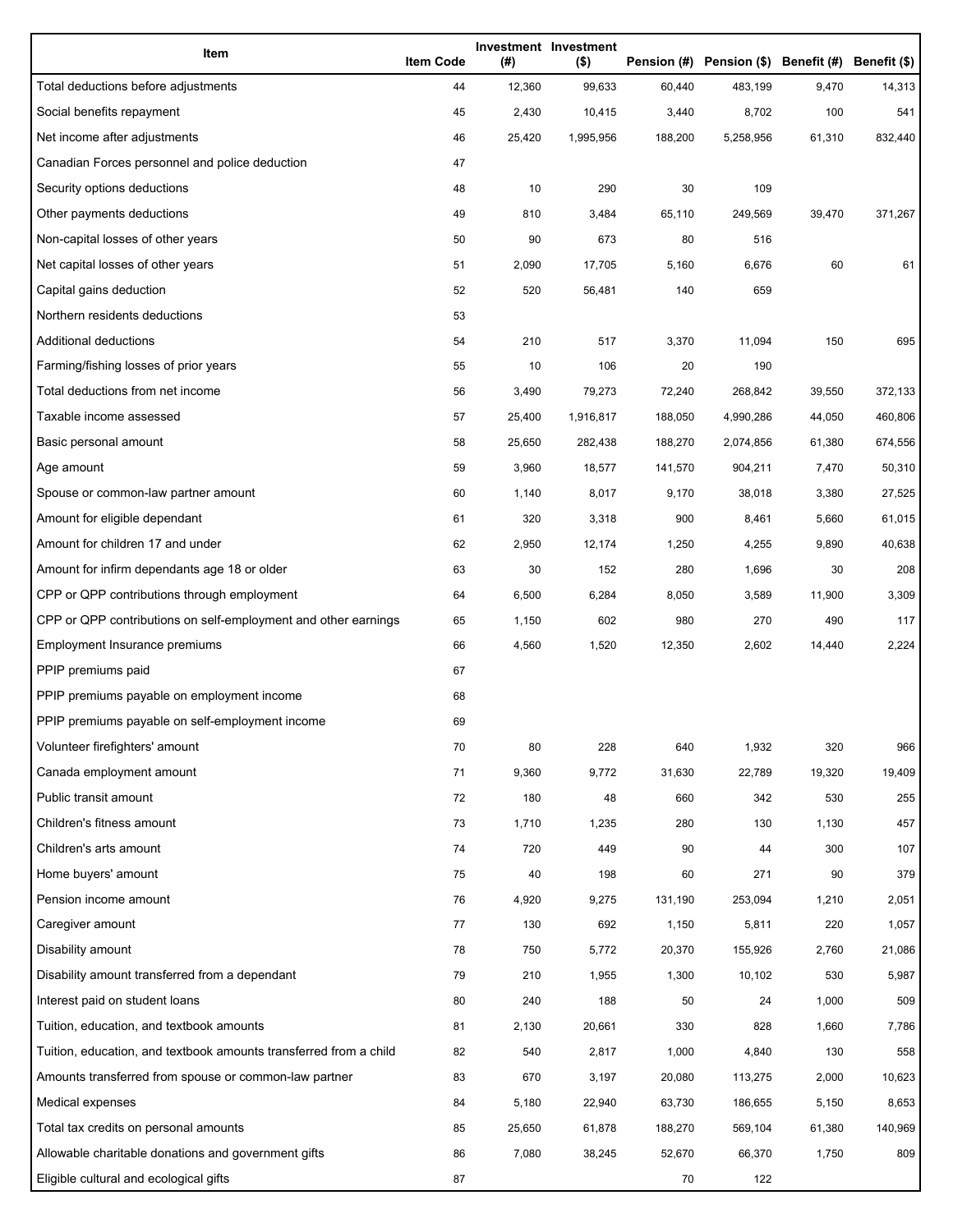| Item                                                              | <b>Item Code</b> | (#)    | Investment Investment<br>$($ \$) |         | Pension (#) Pension (\$) Benefit (#) Benefit (\$) |        |         |
|-------------------------------------------------------------------|------------------|--------|----------------------------------|---------|---------------------------------------------------|--------|---------|
| Total deductions before adjustments                               | 44               | 12,360 | 99,633                           | 60,440  | 483,199                                           | 9,470  | 14,313  |
| Social benefits repayment                                         | 45               | 2,430  | 10,415                           | 3,440   | 8,702                                             | 100    | 541     |
| Net income after adjustments                                      | 46               | 25,420 | 1,995,956                        | 188,200 | 5,258,956                                         | 61,310 | 832,440 |
| Canadian Forces personnel and police deduction                    | 47               |        |                                  |         |                                                   |        |         |
| Security options deductions                                       | 48               | 10     | 290                              | 30      | 109                                               |        |         |
| Other payments deductions                                         | 49               | 810    | 3,484                            | 65,110  | 249,569                                           | 39,470 | 371,267 |
| Non-capital losses of other years                                 | 50               | 90     | 673                              | 80      | 516                                               |        |         |
| Net capital losses of other years                                 | 51               | 2,090  | 17,705                           | 5,160   | 6,676                                             | 60     | 61      |
| Capital gains deduction                                           | 52               | 520    | 56,481                           | 140     | 659                                               |        |         |
| Northern residents deductions                                     | 53               |        |                                  |         |                                                   |        |         |
| Additional deductions                                             | 54               | 210    | 517                              | 3,370   | 11,094                                            | 150    | 695     |
| Farming/fishing losses of prior years                             | 55               | 10     | 106                              | 20      | 190                                               |        |         |
| Total deductions from net income                                  | 56               | 3,490  | 79,273                           | 72,240  | 268,842                                           | 39,550 | 372,133 |
| Taxable income assessed                                           | 57               | 25,400 | 1,916,817                        | 188,050 | 4,990,286                                         | 44,050 | 460,806 |
| Basic personal amount                                             | 58               | 25,650 | 282,438                          | 188,270 | 2,074,856                                         | 61,380 | 674,556 |
| Age amount                                                        | 59               | 3,960  | 18,577                           | 141,570 | 904,211                                           | 7,470  | 50,310  |
| Spouse or common-law partner amount                               | 60               | 1,140  | 8,017                            | 9,170   | 38,018                                            | 3,380  | 27,525  |
| Amount for eligible dependant                                     | 61               | 320    | 3,318                            | 900     | 8,461                                             | 5,660  | 61,015  |
| Amount for children 17 and under                                  | 62               | 2,950  | 12,174                           | 1,250   | 4,255                                             | 9,890  | 40,638  |
| Amount for infirm dependants age 18 or older                      | 63               | 30     | 152                              | 280     | 1,696                                             | 30     | 208     |
| CPP or QPP contributions through employment                       | 64               | 6,500  | 6,284                            | 8,050   | 3,589                                             | 11,900 | 3,309   |
| CPP or QPP contributions on self-employment and other earnings    | 65               | 1,150  | 602                              | 980     | 270                                               | 490    | 117     |
| Employment Insurance premiums                                     | 66               | 4,560  | 1,520                            | 12,350  | 2,602                                             | 14,440 | 2,224   |
| PPIP premiums paid                                                | 67               |        |                                  |         |                                                   |        |         |
| PPIP premiums payable on employment income                        | 68               |        |                                  |         |                                                   |        |         |
| PPIP premiums payable on self-employment income                   | 69               |        |                                  |         |                                                   |        |         |
| Volunteer firefighters' amount                                    | 70               | 80     | 228                              | 640     | 1,932                                             | 320    | 966     |
| Canada employment amount                                          | 71               | 9,360  | 9,772                            | 31,630  | 22,789                                            | 19,320 | 19,409  |
| Public transit amount                                             | 72               | 180    | 48                               | 660     | 342                                               | 530    | 255     |
| Children's fitness amount                                         | 73               | 1,710  | 1,235                            | 280     | 130                                               | 1,130  | 457     |
| Children's arts amount                                            | 74               | 720    | 449                              | 90      | 44                                                | 300    | 107     |
| Home buyers' amount                                               | 75               | 40     | 198                              | 60      | 271                                               | 90     | 379     |
| Pension income amount                                             | 76               | 4,920  | 9,275                            | 131,190 | 253,094                                           | 1,210  | 2,051   |
| Caregiver amount                                                  | 77               | 130    | 692                              | 1,150   | 5,811                                             | 220    | 1,057   |
| Disability amount                                                 | 78               | 750    | 5,772                            | 20,370  | 155,926                                           | 2,760  | 21,086  |
| Disability amount transferred from a dependant                    | 79               | 210    | 1,955                            | 1,300   | 10,102                                            | 530    | 5,987   |
| Interest paid on student loans                                    | 80               | 240    | 188                              | 50      | 24                                                | 1,000  | 509     |
| Tuition, education, and textbook amounts                          | 81               | 2,130  | 20,661                           | 330     | 828                                               | 1,660  | 7,786   |
| Tuition, education, and textbook amounts transferred from a child | 82               | 540    | 2,817                            | 1,000   | 4,840                                             | 130    | 558     |
| Amounts transferred from spouse or common-law partner             | 83               | 670    | 3,197                            | 20,080  | 113,275                                           | 2,000  | 10,623  |
| Medical expenses                                                  | 84               | 5,180  | 22,940                           | 63,730  | 186,655                                           | 5,150  | 8,653   |
| Total tax credits on personal amounts                             | 85               | 25,650 | 61,878                           | 188,270 | 569,104                                           | 61,380 | 140,969 |
| Allowable charitable donations and government gifts               | 86               | 7,080  | 38,245                           | 52,670  | 66,370                                            | 1,750  | 809     |
| Eligible cultural and ecological gifts                            | 87               |        |                                  | 70      | 122                                               |        |         |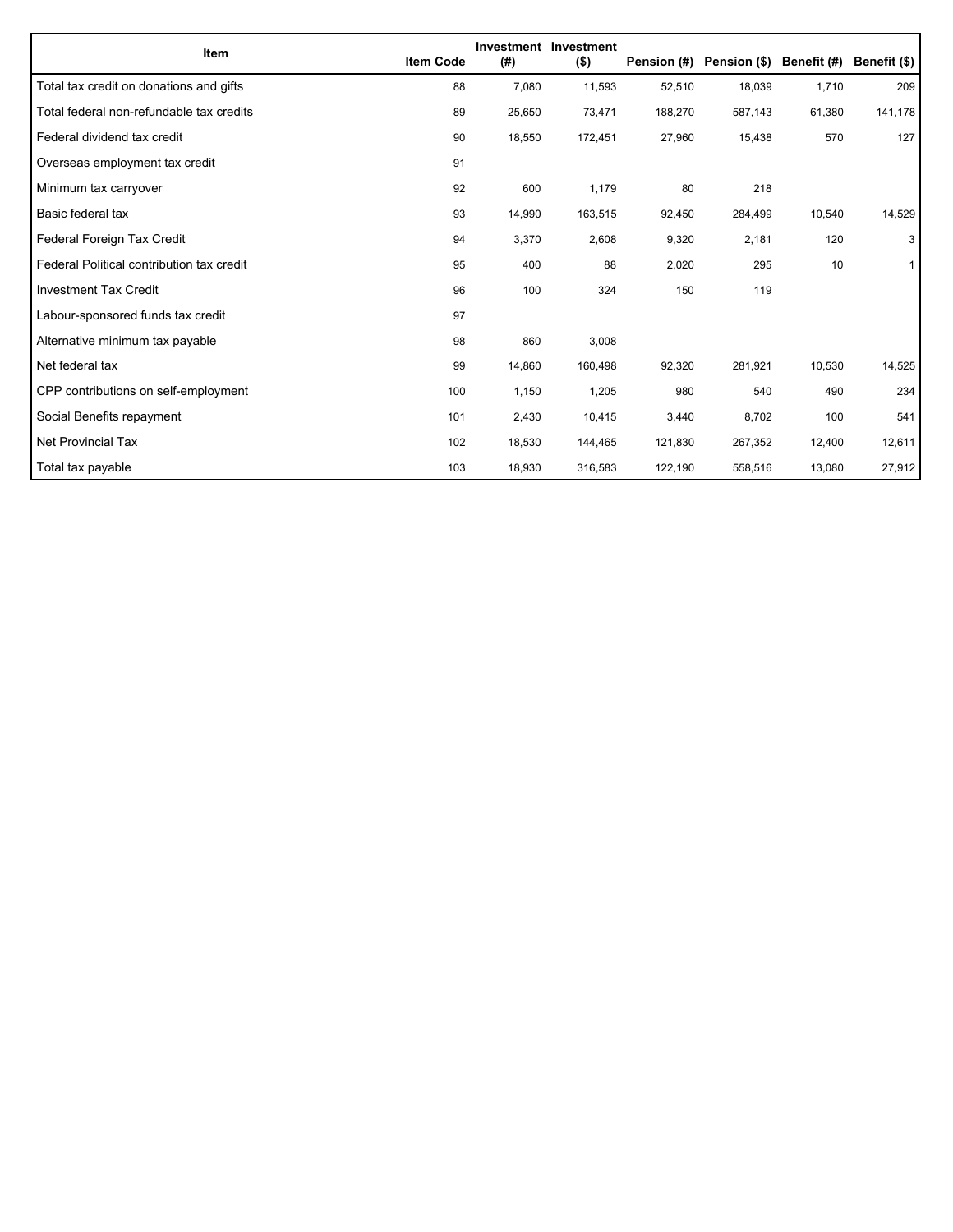| Item                                      | <b>Item Code</b> | (#)    | Investment Investment<br>$($ \$) | Pension (#) | Pension (\$) | Benefit (#) | Benefit (\$) |
|-------------------------------------------|------------------|--------|----------------------------------|-------------|--------------|-------------|--------------|
| Total tax credit on donations and gifts   | 88               | 7,080  | 11,593                           | 52,510      | 18,039       | 1,710       | 209          |
| Total federal non-refundable tax credits  | 89               | 25,650 | 73,471                           | 188,270     | 587,143      | 61,380      | 141,178      |
| Federal dividend tax credit               | 90               | 18,550 | 172,451                          | 27,960      | 15,438       | 570         | 127          |
| Overseas employment tax credit            | 91               |        |                                  |             |              |             |              |
| Minimum tax carryover                     | 92               | 600    | 1,179                            | 80          | 218          |             |              |
| Basic federal tax                         | 93               | 14,990 | 163,515                          | 92,450      | 284,499      | 10,540      | 14,529       |
| Federal Foreign Tax Credit                | 94               | 3,370  | 2,608                            | 9,320       | 2,181        | 120         | 3            |
| Federal Political contribution tax credit | 95               | 400    | 88                               | 2,020       | 295          | 10          | $\mathbf{1}$ |
| <b>Investment Tax Credit</b>              | 96               | 100    | 324                              | 150         | 119          |             |              |
| Labour-sponsored funds tax credit         | 97               |        |                                  |             |              |             |              |
| Alternative minimum tax payable           | 98               | 860    | 3,008                            |             |              |             |              |
| Net federal tax                           | 99               | 14,860 | 160,498                          | 92,320      | 281,921      | 10,530      | 14,525       |
| CPP contributions on self-employment      | 100              | 1,150  | 1,205                            | 980         | 540          | 490         | 234          |
| Social Benefits repayment                 | 101              | 2,430  | 10,415                           | 3,440       | 8,702        | 100         | 541          |
| Net Provincial Tax                        | 102              | 18,530 | 144,465                          | 121,830     | 267,352      | 12,400      | 12,611       |
| Total tax payable                         | 103              | 18,930 | 316,583                          | 122,190     | 558,516      | 13,080      | 27,912       |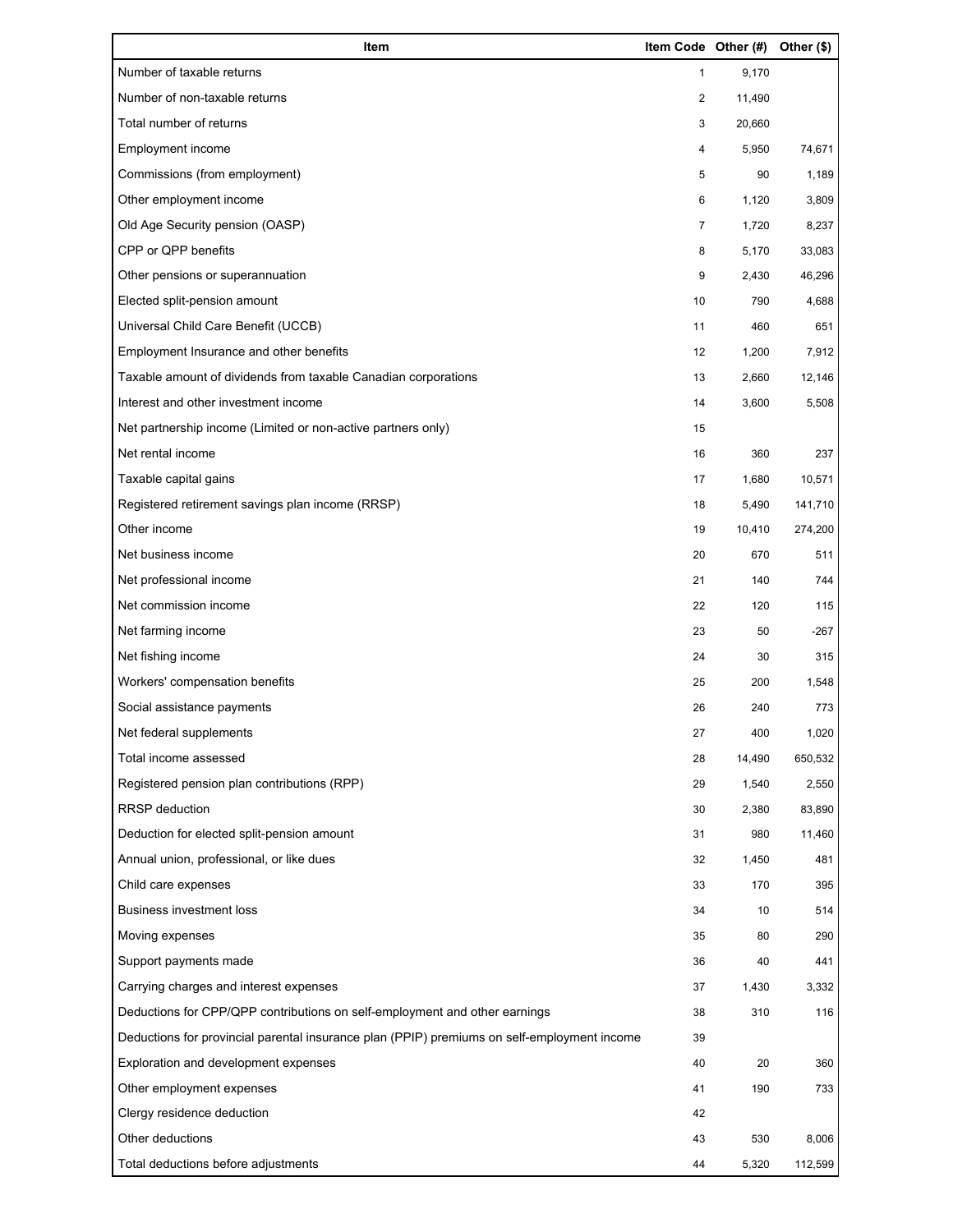| Item                                                                                        | Item Code Other (#) |        | Other (\$) |
|---------------------------------------------------------------------------------------------|---------------------|--------|------------|
| Number of taxable returns                                                                   | 1                   | 9,170  |            |
| Number of non-taxable returns                                                               | 2                   | 11,490 |            |
| Total number of returns                                                                     | 3                   | 20,660 |            |
| Employment income                                                                           | 4                   | 5,950  | 74,671     |
| Commissions (from employment)                                                               | 5                   | 90     | 1,189      |
| Other employment income                                                                     | 6                   | 1,120  | 3,809      |
| Old Age Security pension (OASP)                                                             | $\overline{7}$      | 1,720  | 8,237      |
| CPP or QPP benefits                                                                         | 8                   | 5,170  | 33,083     |
| Other pensions or superannuation                                                            | 9                   | 2,430  | 46,296     |
| Elected split-pension amount                                                                | 10                  | 790    | 4,688      |
| Universal Child Care Benefit (UCCB)                                                         | 11                  | 460    | 651        |
| Employment Insurance and other benefits                                                     | 12                  | 1,200  | 7,912      |
| Taxable amount of dividends from taxable Canadian corporations                              | 13                  | 2,660  | 12,146     |
| Interest and other investment income                                                        | 14                  | 3,600  | 5,508      |
| Net partnership income (Limited or non-active partners only)                                | 15                  |        |            |
| Net rental income                                                                           | 16                  | 360    | 237        |
| Taxable capital gains                                                                       | 17                  | 1,680  | 10,571     |
| Registered retirement savings plan income (RRSP)                                            | 18                  | 5,490  | 141,710    |
| Other income                                                                                | 19                  | 10,410 | 274,200    |
| Net business income                                                                         | 20                  | 670    | 511        |
| Net professional income                                                                     | 21                  | 140    | 744        |
| Net commission income                                                                       | 22                  | 120    | 115        |
| Net farming income                                                                          | 23                  | 50     | $-267$     |
| Net fishing income                                                                          | 24                  | 30     | 315        |
| Workers' compensation benefits                                                              | 25                  | 200    | 1,548      |
| Social assistance payments                                                                  | 26                  | 240    | 773        |
| Net federal supplements                                                                     | 27                  | 400    | 1,020      |
| Total income assessed                                                                       | 28                  | 14,490 | 650,532    |
| Registered pension plan contributions (RPP)                                                 | 29                  | 1,540  | 2,550      |
| RRSP deduction                                                                              | 30                  | 2,380  | 83,890     |
| Deduction for elected split-pension amount                                                  | 31                  | 980    | 11,460     |
| Annual union, professional, or like dues                                                    | 32                  | 1,450  | 481        |
| Child care expenses                                                                         | 33                  | 170    | 395        |
| <b>Business investment loss</b>                                                             | 34                  | 10     | 514        |
| Moving expenses                                                                             | 35                  | 80     | 290        |
| Support payments made                                                                       | 36                  | 40     | 441        |
| Carrying charges and interest expenses                                                      | 37                  | 1,430  | 3,332      |
| Deductions for CPP/QPP contributions on self-employment and other earnings                  | 38                  | 310    | 116        |
| Deductions for provincial parental insurance plan (PPIP) premiums on self-employment income | 39                  |        |            |
| Exploration and development expenses                                                        | 40                  | 20     | 360        |
| Other employment expenses                                                                   | 41                  | 190    | 733        |
| Clergy residence deduction                                                                  | 42                  |        |            |
| Other deductions                                                                            | 43                  | 530    | 8,006      |
| Total deductions before adjustments                                                         | 44                  | 5,320  | 112,599    |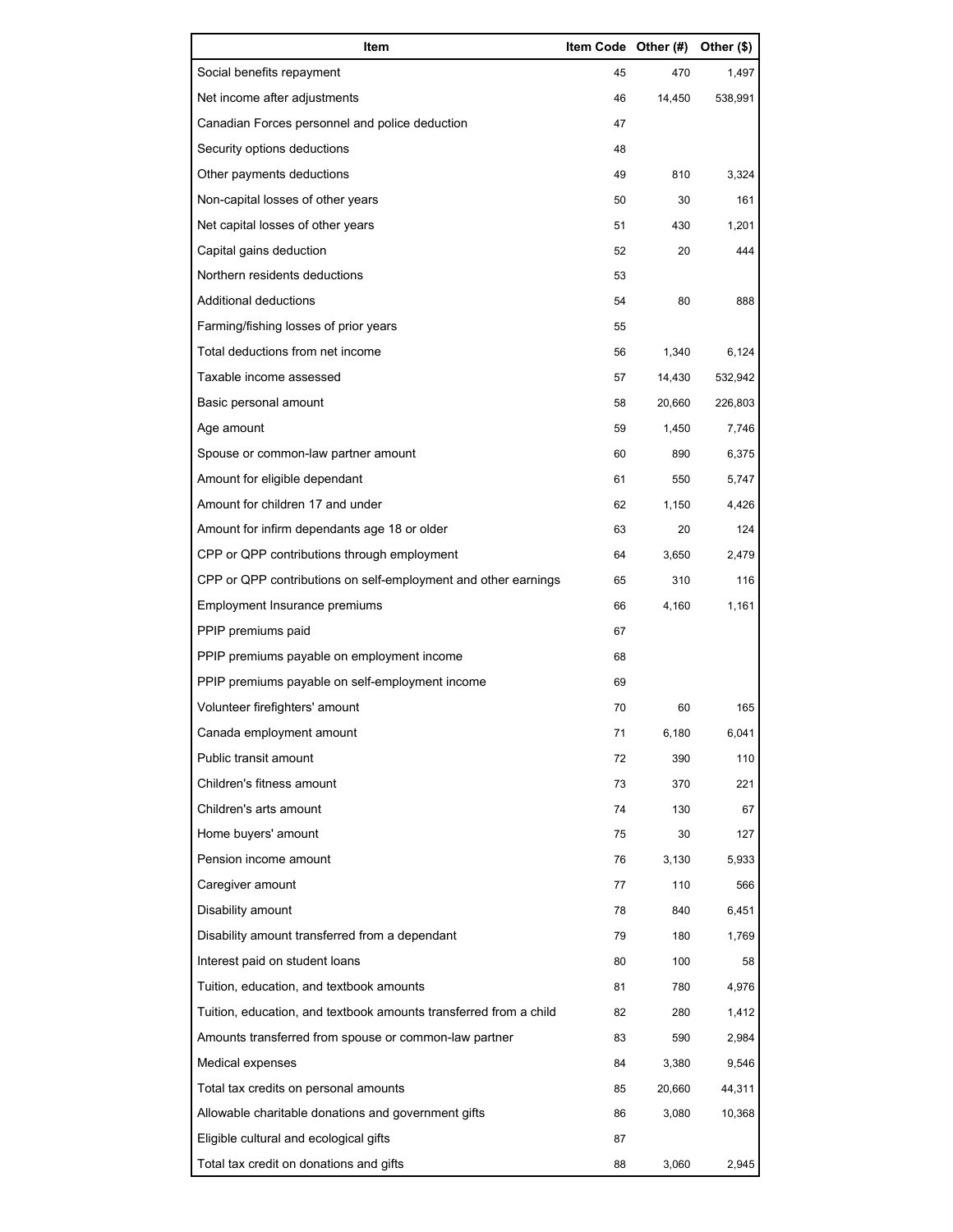| Item                                                              | Item Code Other (#) |        | Other (\$) |
|-------------------------------------------------------------------|---------------------|--------|------------|
| Social benefits repayment                                         | 45                  | 470    | 1,497      |
| Net income after adjustments                                      | 46                  | 14,450 | 538,991    |
| Canadian Forces personnel and police deduction                    | 47                  |        |            |
| Security options deductions                                       | 48                  |        |            |
| Other payments deductions                                         | 49                  | 810    | 3,324      |
| Non-capital losses of other years                                 | 50                  | 30     | 161        |
| Net capital losses of other years                                 | 51                  | 430    | 1,201      |
| Capital gains deduction                                           | 52                  | 20     | 444        |
| Northern residents deductions                                     | 53                  |        |            |
| Additional deductions                                             | 54                  | 80     | 888        |
| Farming/fishing losses of prior years                             | 55                  |        |            |
| Total deductions from net income                                  | 56                  | 1,340  | 6,124      |
| Taxable income assessed                                           | 57                  | 14,430 | 532,942    |
| Basic personal amount                                             | 58                  | 20,660 | 226,803    |
| Age amount                                                        | 59                  | 1,450  | 7,746      |
| Spouse or common-law partner amount                               | 60                  | 890    | 6,375      |
| Amount for eligible dependant                                     | 61                  | 550    | 5,747      |
| Amount for children 17 and under                                  | 62                  | 1,150  | 4,426      |
| Amount for infirm dependants age 18 or older                      | 63                  | 20     | 124        |
| CPP or QPP contributions through employment                       | 64                  | 3,650  | 2,479      |
| CPP or QPP contributions on self-employment and other earnings    | 65                  | 310    | 116        |
| Employment Insurance premiums                                     | 66                  | 4,160  | 1,161      |
| PPIP premiums paid                                                | 67                  |        |            |
| PPIP premiums payable on employment income                        | 68                  |        |            |
| PPIP premiums payable on self-employment income                   | 69                  |        |            |
| Volunteer firefighters' amount                                    | 70                  | 60     | 165        |
| Canada employment amount                                          | 71                  | 6,180  | 6,041      |
| Public transit amount                                             | 72                  | 390    | 110        |
| Children's fitness amount                                         | 73                  | 370    | 221        |
| Children's arts amount                                            | 74                  | 130    | 67         |
| Home buyers' amount                                               | 75                  | 30     | 127        |
| Pension income amount                                             | 76                  | 3,130  | 5,933      |
| Caregiver amount                                                  | 77                  | 110    | 566        |
| Disability amount                                                 | 78                  | 840    | 6,451      |
| Disability amount transferred from a dependant                    | 79                  | 180    | 1,769      |
| Interest paid on student loans                                    | 80                  | 100    | 58         |
| Tuition, education, and textbook amounts                          | 81                  | 780    | 4,976      |
| Tuition, education, and textbook amounts transferred from a child | 82                  | 280    | 1,412      |
| Amounts transferred from spouse or common-law partner             | 83                  | 590    | 2,984      |
| Medical expenses                                                  | 84                  | 3,380  | 9,546      |
| Total tax credits on personal amounts                             | 85                  | 20,660 | 44,311     |
| Allowable charitable donations and government gifts               | 86                  | 3,080  | 10,368     |
| Eligible cultural and ecological gifts                            | 87                  |        |            |
| Total tax credit on donations and gifts                           | 88                  | 3,060  | 2,945      |